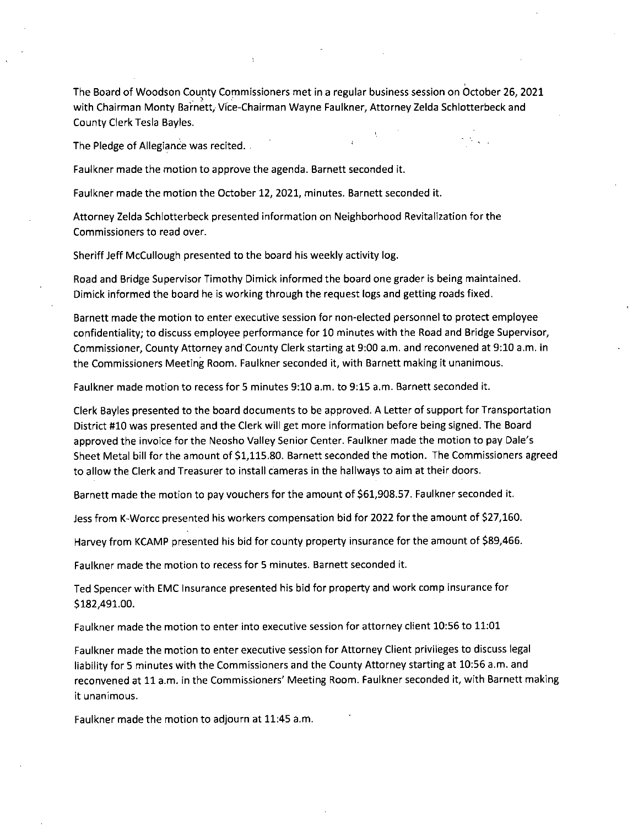The Board of Woodson County Commissioners met in a regular business session on October 26, 2021 with Chairman Monty Barnett, Vice-Chairman Wayne Faulkner, Attorney Zelda Schlotterbeck and County Clerk Tesla Bayles.

The Pledge of Allegiance was recited.

Faulkner made the motion to approve the agenda. Barnett seconded it.

Faulkner made the motion the October 12, 2021, minutes. Barnett seconded it.

Attorney Zelda Schlotterbeck presented information on Neighborhood Revitalization for the Commissioners to read over.

Sheriff Jeff McCullough presented to the board his weekly activity log.

Road and Bridge Supervisor Timothy Dimick informed the board one grader is being maintained. Dimick informed the board he is working through the request logs and getting roads fixed.

Barnett made the motion to enter executive session for non-elected personnel to protect employee confidentiality; to discuss employee performance for 10 minutes with the Road and Bridge Supervisor, Commissioner, County Attorney and"County Clerk starting at 9:00 a.m. and reconvened at 9:10 a.m. in the Commissioners Meeting Room. Faulkner seconded it, with Barnett making it unanimous.

Faulkner made motion to recess for 5 minutes 9:10 a.m. to 9:15 a.m. Barnett seconded it.

Clerk Bayles presented to the board documents to be approved. A Letter of support for Transportation District #10 was presented and the Clerk will get more information before being signed. The Board approved the invoice for the Neosho Valley Senior Center. Faulkner made the motion to pay Dale's Sheet Metal bill for the amount of \$1,115.80. Barnett seconded the motion. The Commissioners agreed to allow the Clerk and Treasurer to install cameras in the hallways to aim at their doors.

Barnett made the motion to pay vouchers for the amount of \$61,908.57. Faulkner seconded it.

Jess from K-Worcc presented his workers compensation bid for 2022 for the amount of \$27,160.

Harvey from KCAMP presented his bid for county property insurance for the amount of \$89,466.

Faulkner made the motion to recess for 5 minutes. Barnett seconded it.

Ted Spencer with EMC Insurance presented his bid for property and work comp insurance for \$182,491.00.

Faulkner made the motion to enter into executive session for attorney client 10:56 to 11:01

Faulkner made the motion to enter executive session for Attorney Client privileges to discuss legal liability for 5 minutes with the Commissioners and the County Attorney starting at 10:56 a.m. and reconvened at 11 a.m. in the Commissioners' Meeting Room. Faulkner seconded it, with Barnett making it unanimous.

Faulkner made the motion to adjourn at 11:45 a.m.